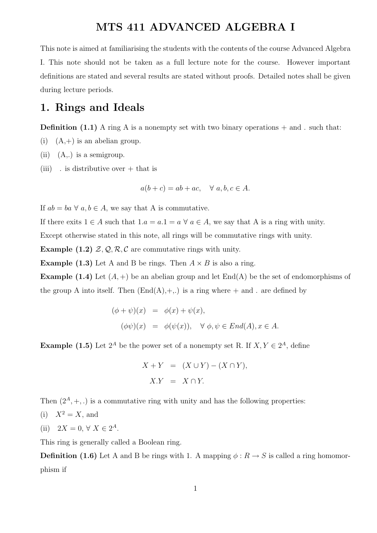## MTS 411 ADVANCED ALGEBRA I

This note is aimed at familiarising the students with the contents of the course Advanced Algebra I. This note should not be taken as a full lecture note for the course. However important definitions are stated and several results are stated without proofs. Detailed notes shall be given during lecture periods.

### 1. Rings and Ideals

**Definition** (1.1) A ring A is a nonempty set with two binary operations  $+$  and . such that:

- (i)  $(A,+)$  is an abelian group.
- (ii)  $(A,.)$  is a semigroup.
- (iii)  $\cdot$  is distributive over  $+$  that is

 $a(b+c) = ab + ac, \quad \forall a, b, c \in A.$ 

If  $ab = ba \,\forall a, b \in A$ , we say that A is commutative.

If there exits  $1 \in A$  such that  $1.a = a.1 = a \ \forall \ a \in A$ , we say that A is a ring with unity.

Except otherwise stated in this note, all rings will be commutative rings with unity.

**Example (1.2)**  $\mathcal{Z}, \mathcal{Q}, \mathcal{R}, \mathcal{C}$  are commutative rings with unity.

**Example (1.3)** Let A and B be rings. Then  $A \times B$  is also a ring.

**Example (1.4)** Let  $(A,+)$  be an abelian group and let  $\text{End}(A)$  be the set of endomorphisms of the group A into itself. Then  $(End(A), +, .)$  is a ring where  $+$  and . are defined by

$$
(\phi + \psi)(x) = \phi(x) + \psi(x),
$$
  

$$
(\phi \psi)(x) = \phi(\psi(x)), \quad \forall \phi, \psi \in End(A), x \in A.
$$

**Example (1.5)** Let  $2^A$  be the power set of a nonempty set R. If  $X, Y \in 2^A$ , define

$$
X + Y = (X \cup Y) - (X \cap Y),
$$
  

$$
X.Y = X \cap Y.
$$

Then  $(2^A, +, .)$  is a commutative ring with unity and has the following properties:

- (i)  $X^2 = X$ , and
- (ii)  $2X = 0, \forall X \in 2^A$ .

This ring is generally called a Boolean ring.

**Definition (1.6)** Let A and B be rings with 1. A mapping  $\phi : R \to S$  is called a ring homomorphism if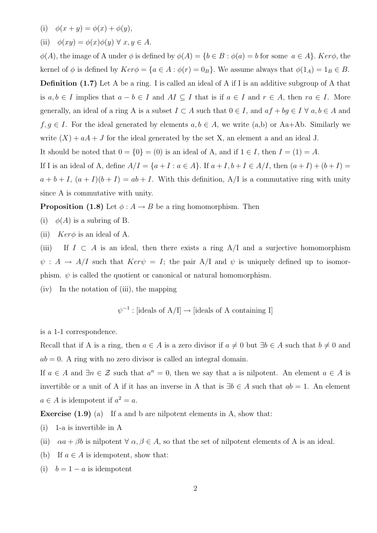- (i)  $\phi(x + y) = \phi(x) + \phi(y),$
- (ii)  $\phi(xy) = \phi(x)\phi(y) \ \forall \ x, y \in A.$

 $\phi(A)$ , the image of A under  $\phi$  is defined by  $\phi(A) = \{b \in B : \phi(a) = b \text{ for some } a \in A\}$ . Ker $\phi$ , the kernel of  $\phi$  is defined by  $Ker \phi = \{a \in A : \phi(r) = 0_B\}$ . We assume always that  $\phi(1_A) = 1_B \in B$ . **Definition** (1.7) Let A be a ring. I is called an ideal of A if I is an additive subgroup of A that is  $a, b \in I$  implies that  $a - b \in I$  and  $AI \subseteq I$  that is if  $a \in I$  and  $r \in A$ , then  $ra \in I$ . More generally, an ideal of a ring A is a subset  $I \subset A$  such that  $0 \in I$ , and  $af + bg \in I \ \forall a, b \in A$  and  $f, g \in I$ . For the ideal generated by elements  $a, b \in A$ , we write  $(a,b)$  or Aa+Ab. Similarly we write  $(X) + aA + J$  for the ideal generated by the set X, an element a and an ideal J. It should be noted that  $0 = \{0\} = (0)$  is an ideal of A, and if  $1 \in I$ , then  $I = (1) = A$ . If I is an ideal of A, define  $A/I = \{a + I : a \in A\}$ . If  $a + I, b + I \in A/I$ , then  $(a + I) + (b + I) =$ 

 $a + b + I$ ,  $(a + I)(b + I) = ab + I$ . With this definition, A/I is a commutative ring with unity since A is commutative with unity.

**Proposition (1.8)** Let  $\phi: A \to B$  be a ring homomorphism. Then

- (i)  $\phi(A)$  is a subring of B.
- (ii)  $Ker\phi$  is an ideal of A.

(iii) If  $I \subset A$  is an ideal, then there exists a ring A/I and a surjective homomorphism  $\psi : A \to A/I$  such that  $Ker \psi = I$ ; the pair A/I and  $\psi$  is uniquely defined up to isomorphism.  $\psi$  is called the quotient or canonical or natural homomorphism.

(iv) In the notation of (iii), the mapping

 $\psi^{-1}$ : [ideals of A/I]  $\rightarrow$  [ideals of A containing I]

is a 1-1 correspondence.

Recall that if A is a ring, then  $a \in A$  is a zero divisor if  $a \neq 0$  but  $\exists b \in A$  such that  $b \neq 0$  and  $ab = 0$ . A ring with no zero divisor is called an integral domain.

If  $a \in A$  and  $\exists n \in \mathcal{Z}$  such that  $a^n = 0$ , then we say that a is nilpotent. An element  $a \in A$  is invertible or a unit of A if it has an inverse in A that is  $\exists b \in A$  such that  $ab = 1$ . An element  $a \in A$  is idempotent if  $a^2 = a$ .

**Exercise**  $(1.9)$  (a) If a and b are nilpotent elements in A, show that:

- (i) 1-a is invertible in A
- (ii)  $\alpha a + \beta b$  is nilpotent  $\forall \alpha, \beta \in A$ , so that the set of nilpotent elements of A is an ideal.
- (b) If  $a \in A$  is idempotent, show that:
- (i)  $b = 1 a$  is idempotent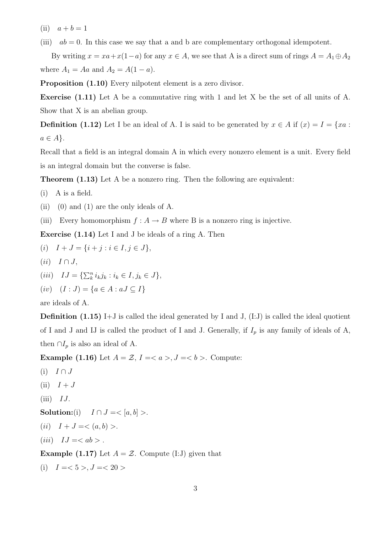(ii)  $a + b = 1$ 

(iii)  $ab = 0$ . In this case we say that a and b are complementary orthogonal idempotent.

By writing  $x = xa + x(1-a)$  for any  $x \in A$ , we see that A is a direct sum of rings  $A = A_1 \oplus A_2$ where  $A_1 = Aa$  and  $A_2 = A(1 - a)$ .

Proposition  $(1.10)$  Every nilpotent element is a zero divisor.

Exercise (1.11) Let A be a commutative ring with 1 and let X be the set of all units of A. Show that X is an abelian group.

**Definition** (1.12) Let I be an ideal of A. I is said to be generated by  $x \in A$  if  $(x) = I = \{xa :$  $a \in A$ .

Recall that a field is an integral domain A in which every nonzero element is a unit. Every field is an integral domain but the converse is false.

Theorem (1.13) Let A be a nonzero ring. Then the following are equivalent:

- (i) A is a field.
- (ii) (0) and (1) are the only ideals of A.
- (iii) Every homomorphism  $f : A \to B$  where B is a nonzero ring is injective.

Exercise (1.14) Let I and J be ideals of a ring A. Then

$$
(i) \quad I + J = \{i + j : i \in I, j \in J\},
$$

- $(ii)$   $I \cap J$ ,
- (*iii*)  $IJ = {\sum_{k}^{n} i_{k} j_{k} : i_{k} \in I, j_{k} \in J},$
- (iv)  $(I : J) = \{a \in A : aJ \subseteq I\}$

are ideals of A.

**Definition** (1.15) I+J is called the ideal generated by I and J,  $(I:J)$  is called the ideal quotient of I and J and IJ is called the product of I and J. Generally, if  $I_p$  is any family of ideals of A, then  $\cap I_p$  is also an ideal of A.

Example (1.16) Let  $A = \mathcal{Z}$ ,  $I = \langle a \rangle, J = \langle b \rangle$ . Compute:

- (i)  $I \cap J$
- $(ii)$   $I + J$
- $(iii)$  IJ.

Solution:(i)  $I \cap J = \langle [a, b] \rangle$ .

- (*ii*)  $I + J = \langle (a, b) \rangle.$
- (iii)  $IJ = \langle ab \rangle$ .

**Example (1.17)** Let  $A = \mathcal{Z}$ . Compute (I:J) given that

(i) 
$$
I = <5>, J = <20>
$$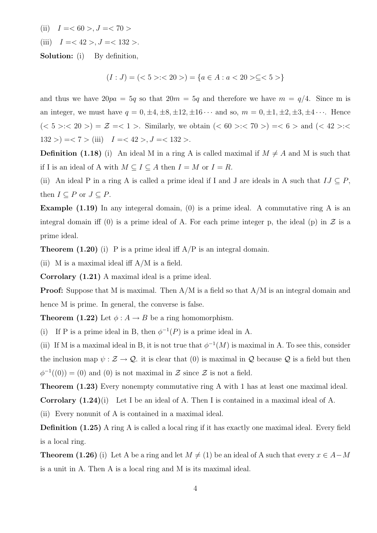- (ii)  $I = 60 > J = 70 >$
- (iii)  $I = < 42 >, J = < 132 >$ .

Solution: (i) By definition,

$$
(I:J) = (<5><20>) = {a \in A : a < 20> \subseteq <5>}
$$

and thus we have  $20pa = 5q$  so that  $20m = 5q$  and therefore we have  $m = q/4$ . Since m is an integer, we must have  $q = 0, \pm 4, \pm 8, \pm 12, \pm 16 \cdots$  and so,  $m = 0, \pm 1, \pm 2, \pm 3, \pm 4 \cdots$ . Hence  $(< 5 > : < 20 >) = \mathcal{Z} = < 1 >$ . Similarly, we obtain  $(< 60 > : < 70 >) = < 6 >$  and  $(< 42 > : <$  $132 > \implies 7 >$  (iii)  $I = < 42 >, J = < 132 >$ .

**Definition** (1.18) (i) An ideal M in a ring A is called maximal if  $M \neq A$  and M is such that if I is an ideal of A with  $M \subseteq I \subseteq A$  then  $I = M$  or  $I = R$ .

(ii) An ideal P in a ring A is called a prime ideal if I and J are ideals in A such that  $IJ \subseteq P$ , then  $I \subseteq P$  or  $J \subseteq P$ .

**Example (1.19)** In any integeral domain, (0) is a prime ideal. A commutative ring A is an integral domain iff (0) is a prime ideal of A. For each prime integer p, the ideal (p) in  $\mathcal Z$  is a prime ideal.

**Theorem (1.20)** (i) P is a prime ideal iff  $A/P$  is an integral domain.

(ii) M is a maximal ideal iff  $A/M$  is a field.

Corrolary (1.21) A maximal ideal is a prime ideal.

**Proof:** Suppose that M is maximal. Then  $A/M$  is a field so that  $A/M$  is an integral domain and hence M is prime. In general, the converse is false.

**Theorem (1.22)** Let  $\phi: A \to B$  be a ring homomorphism.

(i) If P is a prime ideal in B, then  $\phi^{-1}(P)$  is a prime ideal in A.

(ii) If M is a maximal ideal in B, it is not true that  $\phi^{-1}(M)$  is maximal in A. To see this, consider the inclusion map  $\psi : \mathcal{Z} \to \mathcal{Q}$  it is clear that (0) is maximal in  $\mathcal Q$  because  $\mathcal Q$  is a field but then  $\phi^{-1}((0)) = (0)$  and (0) is not maximal in Z since Z is not a field.

Theorem  $(1.23)$  Every nonempty commutative ring A with 1 has at least one maximal ideal.

Corrolary (1.24)(i) Let I be an ideal of A. Then I is contained in a maximal ideal of A.

(ii) Every nonunit of A is contained in a maximal ideal.

**Definition (1.25)** A ring A is called a local ring if it has exactly one maximal ideal. Every field is a local ring.

**Theorem (1.26)** (i) Let A be a ring and let  $M \neq (1)$  be an ideal of A such that every  $x \in A-M$ is a unit in A. Then A is a local ring and M is its maximal ideal.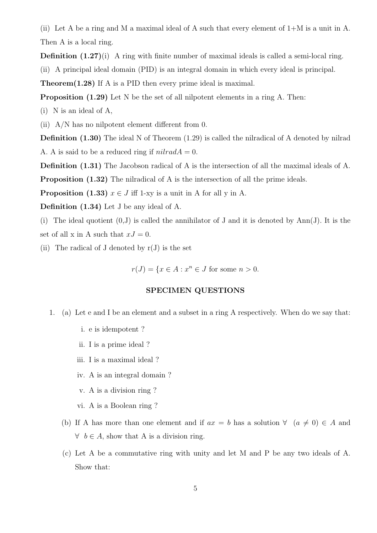(ii) Let A be a ring and M a maximal ideal of A such that every element of 1+M is a unit in A. Then A is a local ring.

**Definition**  $(1.27)(i)$  A ring with finite number of maximal ideals is called a semi-local ring.

(ii) A principal ideal domain (PID) is an integral domain in which every ideal is principal.

Theorem(1.28) If A is a PID then every prime ideal is maximal.

Proposition (1.29) Let N be the set of all nilpotent elements in a ring A. Then:

(i) N is an ideal of A,

(ii) A/N has no nilpotent element different from 0.

Definition (1.30) The ideal N of Theorem (1.29) is called the nilradical of A denoted by nilrad A. A is said to be a reduced ring if  $nilradA = 0$ .

Definition (1.31) The Jacobson radical of A is the intersection of all the maximal ideals of A.

**Proposition (1.32)** The nilradical of A is the intersection of all the prime ideals.

**Proposition** (1.33)  $x \in J$  iff 1-xy is a unit in A for all y in A.

Definition (1.34) Let J be any ideal of A.

(i) The ideal quotient  $(0, J)$  is called the annihilator of J and it is denoted by Ann(J). It is the set of all x in A such that  $xJ = 0$ .

(ii) The radical of J denoted by  $r(J)$  is the set

 $r(J) = \{x \in A : x^n \in J \text{ for some } n > 0.$ 

#### SPECIMEN QUESTIONS

- 1. (a) Let e and I be an element and a subset in a ring A respectively. When do we say that:
	- i. e is idempotent ?
	- ii. I is a prime ideal ?
	- iii. I is a maximal ideal ?
	- iv. A is an integral domain ?
	- v. A is a division ring ?
	- vi. A is a Boolean ring ?
	- (b) If A has more than one element and if  $ax = b$  has a solution  $\forall (a \neq 0) \in A$  and  $\forall b \in A$ , show that A is a division ring.
	- (c) Let A be a commutative ring with unity and let M and P be any two ideals of A. Show that: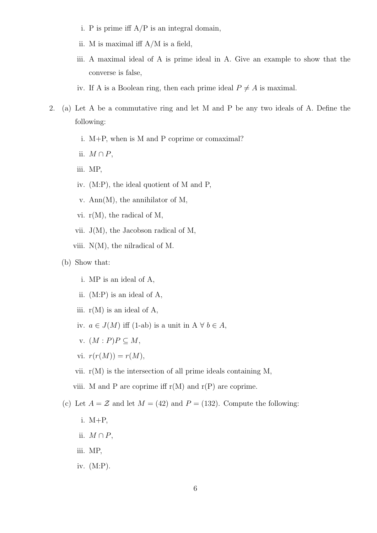- i. P is prime iff  $A/P$  is an integral domain,
- ii. M is maximal iff A/M is a field,
- iii. A maximal ideal of A is prime ideal in A. Give an example to show that the converse is false,
- iv. If A is a Boolean ring, then each prime ideal  $P \neq A$  is maximal.
- 2. (a) Let A be a commutative ring and let M and P be any two ideals of A. Define the following:
	- i. M+P, when is M and P coprime or comaximal?
	- ii.  $M \cap P$ ,
	- iii. MP,
	- iv. (M:P), the ideal quotient of M and P,
	- v. Ann(M), the annihilator of M,
	- vi.  $r(M)$ , the radical of M,
	- vii. J(M), the Jacobson radical of M,
	- viii. N(M), the nilradical of M.
	- (b) Show that:
		- i. MP is an ideal of A,
		- ii. (M:P) is an ideal of A,
		- iii.  $r(M)$  is an ideal of A,
		- iv.  $a \in J(M)$  iff (1-ab) is a unit in  $A \forall b \in A$ ,
		- v.  $(M : P)P \subseteq M$ ,
		- vi.  $r(r(M)) = r(M)$ ,
		- vii.  $r(M)$  is the intersection of all prime ideals containing M,
		- viii. M and P are coprime iff  $r(M)$  and  $r(P)$  are coprime.
	- (c) Let  $A = \mathcal{Z}$  and let  $M = (42)$  and  $P = (132)$ . Compute the following:
		- i. M+P,
		- ii.  $M \cap P$ ,
		- iii. MP,
		- iv. (M:P).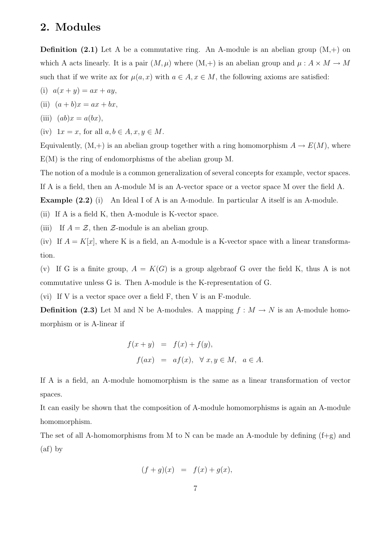### 2. Modules

**Definition** (2.1) Let A be a commutative ring. An A-module is an abelian group  $(M,+)$  on which A acts linearly. It is a pair  $(M, \mu)$  where  $(M, +)$  is an abelian group and  $\mu : A \times M \rightarrow M$ such that if we write ax for  $\mu(a, x)$  with  $a \in A, x \in M$ , the following axioms are satisfied:

- (i)  $a(x + y) = ax + ay$ ,
- (ii)  $(a + b)x = ax + bx,$

(iii) 
$$
(ab)x = a(bx),
$$

(iv)  $1x = x$ , for all  $a, b \in A, x, y \in M$ .

Equivalently,  $(M,+)$  is an abelian group together with a ring homomorphism  $A \to E(M)$ , where E(M) is the ring of endomorphisms of the abelian group M.

The notion of a module is a common generalization of several concepts for example, vector spaces.

If A is a field, then an A-module M is an A-vector space or a vector space M over the field A.

Example (2.2) (i) An Ideal I of A is an A-module. In particular A itself is an A-module.

(ii) If A is a field K, then A-module is K-vector space.

(iii) If  $A = \mathcal{Z}$ , then  $\mathcal{Z}$ -module is an abelian group.

(iv) If  $A = K[x]$ , where K is a field, an A-module is a K-vector space with a linear transformation.

(v) If G is a finite group,  $A = K(G)$  is a group algebraof G over the field K, thus A is not commutative unless G is. Then A-module is the K-representation of G.

(vi) If V is a vector space over a field F, then V is an F-module.

**Definition (2.3)** Let M and N be A-modules. A mapping  $f : M \to N$  is an A-module homomorphism or is A-linear if

$$
f(x + y) = f(x) + f(y),
$$
  

$$
f(ax) = af(x), \forall x, y \in M, a \in A.
$$

If A is a field, an A-module homomorphism is the same as a linear transformation of vector spaces.

It can easily be shown that the composition of A-module homomorphisms is again an A-module homomorphism.

The set of all A-homomorphisms from M to N can be made an A-module by defining  $(f+g)$  and  $(af)$  by

$$
(f+g)(x) = f(x) + g(x),
$$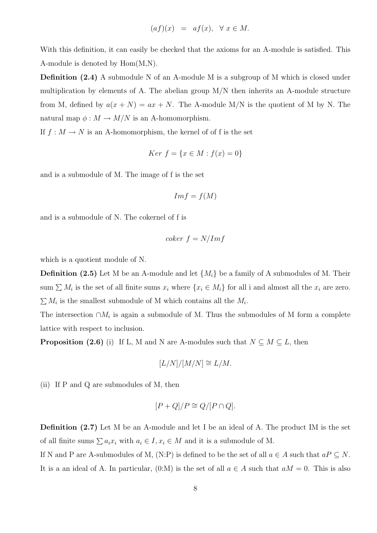$$
(af)(x) = af(x), \forall x \in M.
$$

With this definition, it can easily be checked that the axioms for an A-module is satisfied. This A-module is denoted by Hom(M,N).

**Definition (2.4)** A submodule N of an A-module M is a subgroup of M which is closed under multiplication by elements of A. The abelian group M/N then inherits an A-module structure from M, defined by  $a(x+N) = ax+N$ . The A-module M/N is the quotient of M by N. The natural map  $\phi : M \to M/N$  is an A-homomorphism.

If  $f : M \to N$  is an A-homomorphism, the kernel of of f is the set

$$
Ker f = \{x \in M : f(x) = 0\}
$$

and is a submodule of M. The image of f is the set

$$
Im f = f(M)
$$

and is a submodule of N. The cokernel of f is

$$
coker\ f = N/Im f
$$

which is a quotient module of N.

**Definition (2.5)** Let M be an A-module and let  $\{M_i\}$  be a family of A submodules of M. Their sum  $\sum M_i$  is the set of all finite sums  $x_i$  where  $\{x_i \in M_i\}$  for all i and almost all the  $x_i$  are zero.  $\sum M_i$  is the smallest submodule of M which contains all the  $M_i$ .

The intersection  $\cap M_i$  is again a submodule of M. Thus the submodules of M form a complete lattice with respect to inclusion.

**Proposition (2.6)** (i) If L, M and N are A-modules such that  $N \subseteq M \subseteq L$ , then

$$
[L/N]/[M/N] \cong L/M.
$$

(ii) If P and Q are submodules of M, then

$$
[P+Q]/P \cong Q/[P \cap Q].
$$

Definition (2.7) Let M be an A-module and let I be an ideal of A. The product IM is the set of all finite sums  $\sum a_i x_i$  with  $a_i \in I, x_i \in M$  and it is a submodule of M.

If N and P are A-submodules of M, (N:P) is defined to be the set of all  $a \in A$  such that  $aP \subseteq N$ . It is a an ideal of A. In particular,  $(0:M)$  is the set of all  $a \in A$  such that  $aM = 0$ . This is also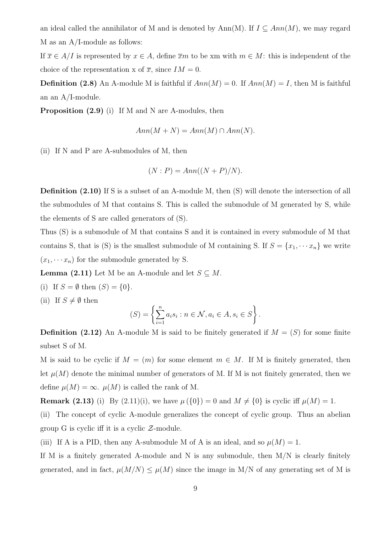an ideal called the annihilator of M and is denoted by Ann(M). If  $I \subseteq Ann(M)$ , we may regard M as an A/I-module as follows:

If  $\overline{x} \in A/I$  is represented by  $x \in A$ , define  $\overline{x}m$  to be xm with  $m \in M$ : this is independent of the choice of the representation x of  $\overline{x}$ , since  $IM = 0$ .

**Definition (2.8)** An A-module M is faithful if  $Ann(M) = 0$ . If  $Ann(M) = I$ , then M is faithful an an A/I-module.

Proposition  $(2.9)$  (i) If M and N are A-modules, then

$$
Ann(M + N) = Ann(M) \cap Ann(N).
$$

(ii) If N and P are A-submodules of M, then

$$
(N : P) = Ann((N + P)/N).
$$

Definition (2.10) If S is a subset of an A-module M, then (S) will denote the intersection of all the submodules of M that contains S. This is called the submodule of M generated by S, while the elements of S are called generators of (S).

Thus (S) is a submodule of M that contains S and it is contained in every submodule of M that contains S, that is (S) is the smallest submodule of M containing S. If  $S = \{x_1, \dots, x_n\}$  we write  $(x_1, \dots, x_n)$  for the submodule generated by S.

**Lemma (2.11)** Let M be an A-module and let  $S \subseteq M$ .

(i) If  $S = \emptyset$  then  $(S) = \{0\}.$ 

(ii) If  $S \neq \emptyset$  then

$$
(S) = \left\{ \sum_{i=1}^{n} a_i s_i : n \in \mathcal{N}, a_i \in A, s_i \in S \right\}.
$$

**Definition** (2.12) An A-module M is said to be finitely generated if  $M = (S)$  for some finite subset S of M.

M is said to be cyclic if  $M = (m)$  for some element  $m \in M$ . If M is finitely generated, then let  $\mu(M)$  denote the minimal number of generators of M. If M is not finitely generated, then we define  $\mu(M) = \infty$ .  $\mu(M)$  is called the rank of M.

**Remark (2.13)** (i) By (2.11)(i), we have  $\mu({0}) = 0$  and  $M \neq {0}$  is cyclic iff  $\mu(M) = 1$ .

(ii) The concept of cyclic A-module generalizes the concept of cyclic group. Thus an abelian group G is cyclic iff it is a cyclic  $\mathcal{Z}\text{-module}$ .

(iii) If A is a PID, then any A-submodule M of A is an ideal, and so  $\mu(M) = 1$ .

If M is a finitely generated A-module and N is any submodule, then  $M/N$  is clearly finitely generated, and in fact,  $\mu(M/N) \leq \mu(M)$  since the image in M/N of any generating set of M is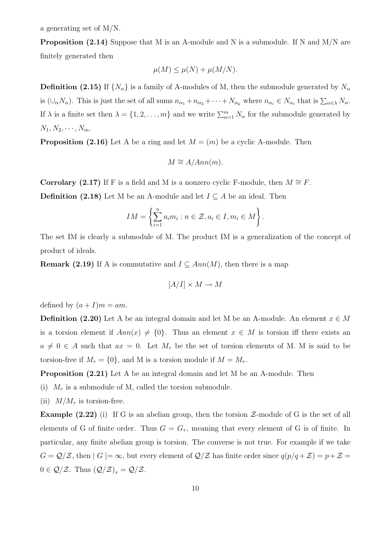a generating set of M/N.

**Proposition (2.14)** Suppose that M is an A-module and N is a submodule. If N and  $M/N$  are finitely generated then

$$
\mu(M) \le \mu(N) + \mu(M/N).
$$

**Definition (2.15)** If  $\{N_{\alpha}\}\$ is a family of A-modules of M, then the submodule generated by  $N_{\alpha}$ is  $(\cup_{\alpha} N_{\alpha})$ . This is just the set of all sums  $n_{\alpha_1} + n_{\alpha_2} + \cdots + N_{\alpha_k}$  where  $n_{\alpha_i} \in N_{\alpha_i}$  that is  $\sum_{\alpha \in \lambda} N_{\alpha}$ . If  $\lambda$  is a finite set then  $\lambda = \{1, 2, ..., m\}$  and we write  $\sum_{\alpha=1}^{m} N_{\alpha}$  for the submodule generated by  $N_1, N_2, \cdots, N_m.$ 

**Proposition (2.16)** Let A be a ring and let  $M = (m)$  be a cyclic A-module. Then

$$
M \cong A/Ann(m).
$$

Corrolary (2.17) If F is a field and M is a nonzero cyclic F-module, then  $M \cong F$ .

**Definition** (2.18) Let M be an A-module and let  $I \subseteq A$  be an ideal. Then

$$
IM = \left\{ \sum_{i=1}^{n} a_i m_i : n \in \mathcal{Z}, a_i \in I, m_i \in M \right\}.
$$

The set IM is clearly a submodule of M. The product IM is a generalization of the concept of product of ideals.

**Remark (2.19)** If A is commutative and  $I \subseteq Ann(M)$ , then there is a map

$$
[A/I]\times M\to M
$$

defined by  $(a + I)m = am$ .

**Definition (2.20)** Let A be an integral domain and let M be an A-module. An element  $x \in M$ is a torsion element if  $Ann(x) \neq \{0\}$ . Thus an element  $x \in M$  is torsion iff there exists an  $a \neq 0 \in A$  such that  $ax = 0$ . Let  $M_{\tau}$  be the set of torsion elements of M. M is said to be torsion-free if  $M_{\tau} = \{0\}$ , and M is a torsion module if  $M = M_{\tau}$ .

**Proposition** (2.21) Let A be an integral domain and let M be an A-module. Then

(i)  $M_{\tau}$  is a submodule of M, called the torsion submodule.

(ii)  $M/M_{\tau}$  is torsion-free.

**Example (2.22)** (i) If G is an abelian group, then the torsion  $\mathcal{Z}\text{-module of }G$  is the set of all elements of G of finite order. Thus  $G = G_{\tau}$ , meaning that every element of G is of finite. In particular, any finite abelian group is torsion. The converse is not true. For example if we take  $G = \mathcal{Q}/\mathcal{Z}$ , then  $|G| = \infty$ , but every element of  $\mathcal{Q}/\mathcal{Z}$  has finite order since  $q(p/q + \mathcal{Z}) = p + \mathcal{Z} =$  $0 \in \mathcal{Q}/\mathcal{Z}$ . Thus  $(\mathcal{Q}/\mathcal{Z})_{\tau} = \mathcal{Q}/\mathcal{Z}$ .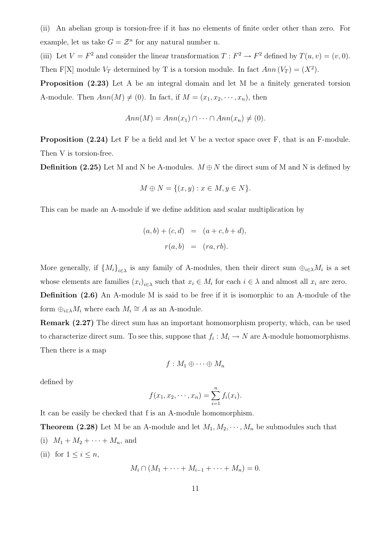(ii) An abelian group is torsion-free if it has no elements of finite order other than zero. For example, let us take  $G = \mathcal{Z}^n$  for any natural number n.

(iii) Let  $V = F^2$  and consider the linear transformation  $T : F^2 \to F^2$  defined by  $T(u, v) = (v, 0)$ . Then F[X] module  $V_T$  determined by T is a torsion module. In fact  $Ann(V_T) = (X^2)$ .

**Proposition** (2.23) Let A be an integral domain and let M be a finitely generated torsion A-module. Then  $Ann(M) \neq (0)$ . In fact, if  $M = (x_1, x_2, \dots, x_n)$ , then

$$
Ann(M) = Ann(x_1) \cap \cdots \cap Ann(x_n) \neq (0).
$$

**Proposition (2.24)** Let F be a field and let V be a vector space over F, that is an F-module. Then V is torsion-free.

**Definition (2.25)** Let M and N be A-modules.  $M \oplus N$  the direct sum of M and N is defined by

$$
M \oplus N = \{(x, y) : x \in M, y \in N\}.
$$

This can be made an A-module if we define addition and scalar multiplication by

$$
(a, b) + (c, d) = (a + c, b + d),
$$
  
 $r(a, b) = (ra, rb).$ 

More generally, if  ${M_i}_{i\in\lambda}$  is any family of A-modules, then their direct sum  $\oplus_{i\in\lambda}M_i$  is a set whose elements are families  $(x_i)_{i \in \lambda}$  such that  $x_i \in M_i$  for each  $i \in \lambda$  and almost all  $x_i$  are zero. Definition (2.6) An A-module M is said to be free if it is isomorphic to an A-module of the form  $\bigoplus_{i\in\lambda}M_i$  where each  $M_i\cong A$  as an A-module.

Remark (2.27) The direct sum has an important homomorphism property, which, can be used to characterize direct sum. To see this, suppose that  $f_i: M_i \to N$  are A-module homomorphisms. Then there is a map

$$
f:M_1\oplus\cdots\oplus M_n
$$

defined by

$$
f(x_1, x_2, \cdots, x_n) = \sum_{i=1}^n f_i(x_i).
$$

It can be easily be checked that f is an A-module homomorphism.

**Theorem (2.28)** Let M be an A-module and let  $M_1, M_2, \dots, M_n$  be submodules such that (i)  $M_1 + M_2 + \cdots + M_n$ , and (ii) for  $1 \leq i \leq n$ ,

$$
M_i \cap (M_1 + \dots + M_{i-1} + \dots + M_n) = 0.
$$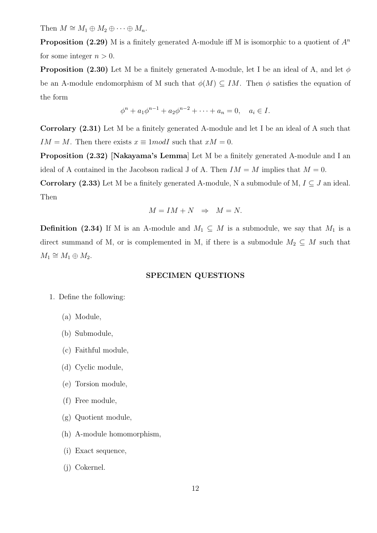Then  $M \cong M_1 \oplus M_2 \oplus \cdots \oplus M_n$ .

**Proposition (2.29)** M is a finitely generated A-module iff M is isomorphic to a quotient of  $A^n$ for some integer  $n > 0$ .

**Proposition (2.30)** Let M be a finitely generated A-module, let I be an ideal of A, and let  $\phi$ be an A-module endomorphism of M such that  $\phi(M) \subseteq IM$ . Then  $\phi$  satisfies the equation of the form

$$
\phi^{n} + a_1 \phi^{n-1} + a_2 \phi^{n-2} + \dots + a_n = 0, \quad a_i \in I.
$$

Corrolary (2.31) Let M be a finitely generated A-module and let I be an ideal of A such that  $IM = M$ . Then there exists  $x \equiv 1 \mod I$  such that  $xM = 0$ .

Proposition (2.32) [Nakayama's Lemma] Let M be a finitely generated A-module and I an ideal of A contained in the Jacobson radical J of A. Then  $IM = M$  implies that  $M = 0$ .

Corrolary (2.33) Let M be a finitely generated A-module, N a submodule of M,  $I \subseteq J$  an ideal. Then

$$
M = IM + N \Rightarrow M = N.
$$

**Definition** (2.34) If M is an A-module and  $M_1 \subseteq M$  is a submodule, we say that  $M_1$  is a direct summand of M, or is complemented in M, if there is a submodule  $M_2 \subseteq M$  such that  $M_1 \cong M_1 \oplus M_2.$ 

#### SPECIMEN QUESTIONS

- 1. Define the following:
	- (a) Module,
	- (b) Submodule,
	- (c) Faithful module,
	- (d) Cyclic module,
	- (e) Torsion module,
	- (f) Free module,
	- (g) Quotient module,
	- (h) A-module homomorphism,
	- (i) Exact sequence,
	- (j) Cokernel.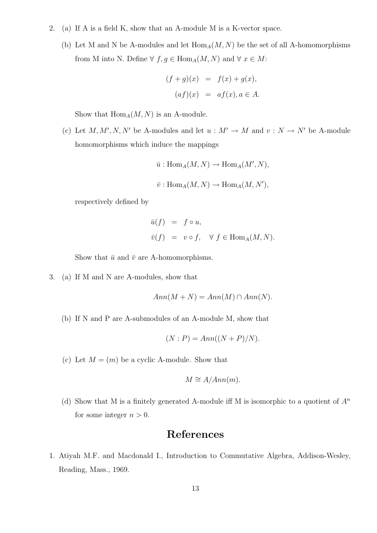- 2. (a) If A is a field K, show that an A-module M is a K-vector space.
	- (b) Let M and N be A-modules and let  $\text{Hom}_{A}(M, N)$  be the set of all A-homomorphisms from M into N. Define  $\forall f, g \in \text{Hom}_A(M, N)$  and  $\forall x \in M$ :

$$
(f+g)(x) = f(x) + g(x),
$$
  

$$
(af)(x) = af(x), a \in A.
$$

Show that  $\text{Hom}_A(M, N)$  is an A-module.

(c) Let M, M', N, N' be A-modules and let  $u : M' \to M$  and  $v : N \to N'$  be A-module homomorphisms which induce the mappings

$$
\bar{u}: \text{Hom}_{A}(M, N) \to \text{Hom}_{A}(M', N),
$$
  

$$
\bar{v}: \text{Hom}_{A}(M, N) \to \text{Hom}_{A}(M, N'),
$$

respectively defined by

$$
\begin{array}{rcl}\n\bar{u}(f) & = & f \circ u, \\
\bar{v}(f) & = & v \circ f, \quad \forall \ f \in \text{Hom}_A(M, N).\n\end{array}
$$

Show that  $\bar{u}$  and  $\bar{v}$  are A-homomorphisms.

3. (a) If M and N are A-modules, show that

$$
Ann(M + N) = Ann(M) \cap Ann(N).
$$

(b) If N and P are A-submodules of an A-module M, show that

$$
(N : P) = Ann((N + P)/N).
$$

(c) Let  $M = (m)$  be a cyclic A-module. Show that

$$
M \cong A/Ann(m).
$$

(d) Show that M is a finitely generated A-module iff M is isomorphic to a quotient of  $A^n$ for some integer  $n > 0$ .

# References

1. Atiyah M.F. and Macdonald I., Introduction to Commutative Algebra, Addison-Wesley, Reading, Mass., 1969.